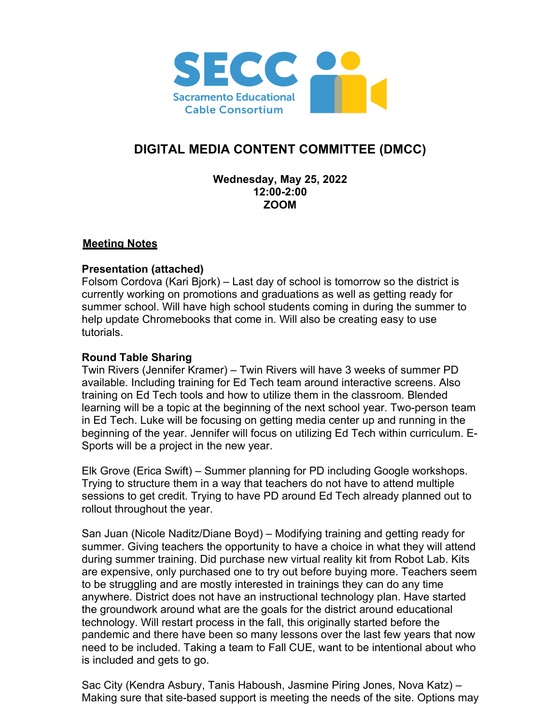

# **DIGITAL MEDIA CONTENT COMMITTEE (DMCC)**

### **Wednesday, May 25, 2022 12:00-2:00 ZOOM**

## **Meeting Notes**

## **Presentation (attached)**

Folsom Cordova (Kari Bjork) – Last day of school is tomorrow so the district is currently working on promotions and graduations as well as getting ready for summer school. Will have high school students coming in during the summer to help update Chromebooks that come in. Will also be creating easy to use tutorials.

## **Round Table Sharing**

Twin Rivers (Jennifer Kramer) – Twin Rivers will have 3 weeks of summer PD available. Including training for Ed Tech team around interactive screens. Also training on Ed Tech tools and how to utilize them in the classroom. Blended learning will be a topic at the beginning of the next school year. Two-person team in Ed Tech. Luke will be focusing on getting media center up and running in the beginning of the year. Jennifer will focus on utilizing Ed Tech within curriculum. E-Sports will be a project in the new year.

Elk Grove (Erica Swift) – Summer planning for PD including Google workshops. Trying to structure them in a way that teachers do not have to attend multiple sessions to get credit. Trying to have PD around Ed Tech already planned out to rollout throughout the year.

San Juan (Nicole Naditz/Diane Boyd) – Modifying training and getting ready for summer. Giving teachers the opportunity to have a choice in what they will attend during summer training. Did purchase new virtual reality kit from Robot Lab. Kits are expensive, only purchased one to try out before buying more. Teachers seem to be struggling and are mostly interested in trainings they can do any time anywhere. District does not have an instructional technology plan. Have started the groundwork around what are the goals for the district around educational technology. Will restart process in the fall, this originally started before the pandemic and there have been so many lessons over the last few years that now need to be included. Taking a team to Fall CUE, want to be intentional about who is included and gets to go.

Sac City (Kendra Asbury, Tanis Haboush, Jasmine Piring Jones, Nova Katz) – Making sure that site-based support is meeting the needs of the site. Options may